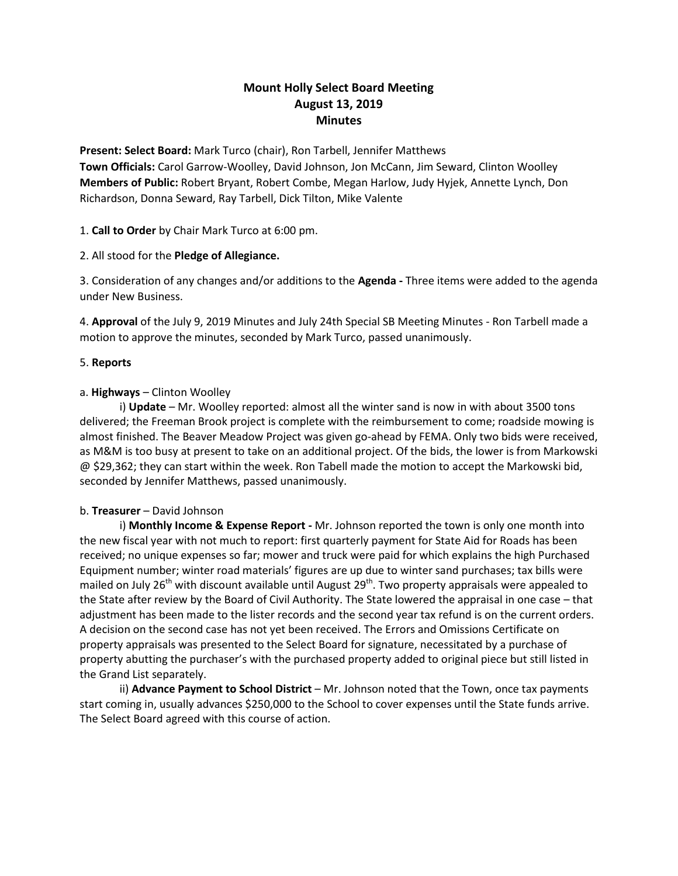# **Mount Holly Select Board Meeting August 13, 2019 Minutes**

**Present: Select Board:** Mark Turco (chair), Ron Tarbell, Jennifer Matthews **Town Officials:** Carol Garrow-Woolley, David Johnson, Jon McCann, Jim Seward, Clinton Woolley **Members of Public:** Robert Bryant, Robert Combe, Megan Harlow, Judy Hyjek, Annette Lynch, Don Richardson, Donna Seward, Ray Tarbell, Dick Tilton, Mike Valente

1. **Call to Order** by Chair Mark Turco at 6:00 pm.

2. All stood for the **Pledge of Allegiance.**

3. Consideration of any changes and/or additions to the **Agenda -** Three items were added to the agenda under New Business.

4. **Approval** of the July 9, 2019 Minutes and July 24th Special SB Meeting Minutes - Ron Tarbell made a motion to approve the minutes, seconded by Mark Turco, passed unanimously.

## 5. **Reports**

## a. **Highways** – Clinton Woolley

i) **Update** – Mr. Woolley reported: almost all the winter sand is now in with about 3500 tons delivered; the Freeman Brook project is complete with the reimbursement to come; roadside mowing is almost finished. The Beaver Meadow Project was given go-ahead by FEMA. Only two bids were received, as M&M is too busy at present to take on an additional project. Of the bids, the lower is from Markowski @ \$29,362; they can start within the week. Ron Tabell made the motion to accept the Markowski bid, seconded by Jennifer Matthews, passed unanimously.

#### b. **Treasurer** – David Johnson

i) **Monthly Income & Expense Report -** Mr. Johnson reported the town is only one month into the new fiscal year with not much to report: first quarterly payment for State Aid for Roads has been received; no unique expenses so far; mower and truck were paid for which explains the high Purchased Equipment number; winter road materials' figures are up due to winter sand purchases; tax bills were mailed on July 26<sup>th</sup> with discount available until August 29<sup>th</sup>. Two property appraisals were appealed to the State after review by the Board of Civil Authority. The State lowered the appraisal in one case – that adjustment has been made to the lister records and the second year tax refund is on the current orders. A decision on the second case has not yet been received. The Errors and Omissions Certificate on property appraisals was presented to the Select Board for signature, necessitated by a purchase of property abutting the purchaser's with the purchased property added to original piece but still listed in the Grand List separately.

ii) **Advance Payment to School District** – Mr. Johnson noted that the Town, once tax payments start coming in, usually advances \$250,000 to the School to cover expenses until the State funds arrive. The Select Board agreed with this course of action.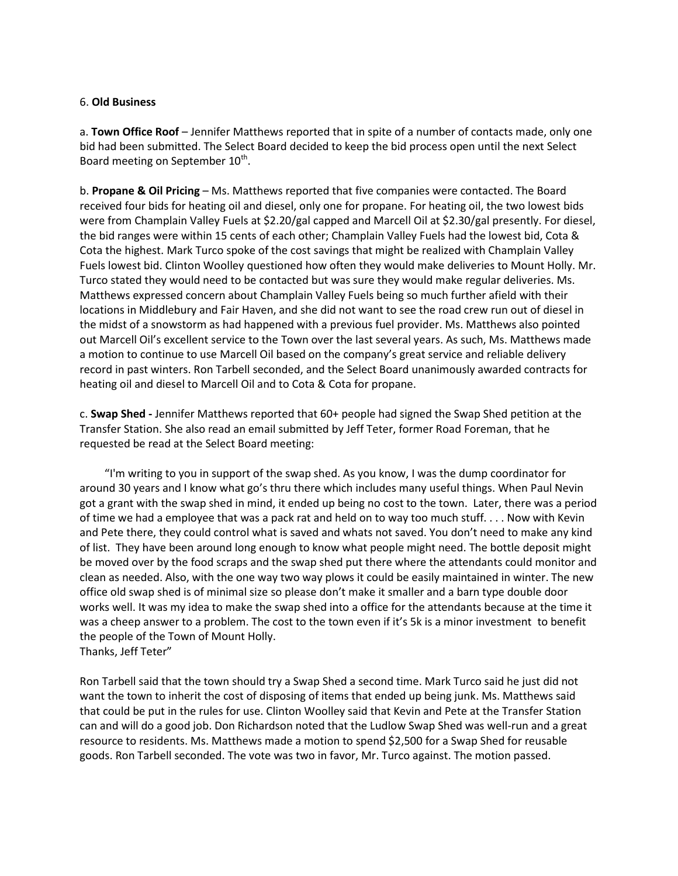#### 6. **Old Business**

a. **Town Office Roof** – Jennifer Matthews reported that in spite of a number of contacts made, only one bid had been submitted. The Select Board decided to keep the bid process open until the next Select Board meeting on September 10<sup>th</sup>.

b. **Propane & Oil Pricing** – Ms. Matthews reported that five companies were contacted. The Board received four bids for heating oil and diesel, only one for propane. For heating oil, the two lowest bids were from Champlain Valley Fuels at \$2.20/gal capped and Marcell Oil at \$2.30/gal presently. For diesel, the bid ranges were within 15 cents of each other; Champlain Valley Fuels had the lowest bid, Cota & Cota the highest. Mark Turco spoke of the cost savings that might be realized with Champlain Valley Fuels lowest bid. Clinton Woolley questioned how often they would make deliveries to Mount Holly. Mr. Turco stated they would need to be contacted but was sure they would make regular deliveries. Ms. Matthews expressed concern about Champlain Valley Fuels being so much further afield with their locations in Middlebury and Fair Haven, and she did not want to see the road crew run out of diesel in the midst of a snowstorm as had happened with a previous fuel provider. Ms. Matthews also pointed out Marcell Oil's excellent service to the Town over the last several years. As such, Ms. Matthews made a motion to continue to use Marcell Oil based on the company's great service and reliable delivery record in past winters. Ron Tarbell seconded, and the Select Board unanimously awarded contracts for heating oil and diesel to Marcell Oil and to Cota & Cota for propane.

c. **Swap Shed -** Jennifer Matthews reported that 60+ people had signed the Swap Shed petition at the Transfer Station. She also read an email submitted by Jeff Teter, former Road Foreman, that he requested be read at the Select Board meeting:

 "I'm writing to you in support of the swap shed. As you know, I was the dump coordinator for around 30 years and I know what go's thru there which includes many useful things. When Paul Nevin got a grant with the swap shed in mind, it ended up being no cost to the town. Later, there was a period of time we had a employee that was a pack rat and held on to way too much stuff. . . . Now with Kevin and Pete there, they could control what is saved and whats not saved. You don't need to make any kind of list. They have been around long enough to know what people might need. The bottle deposit might be moved over by the food scraps and the swap shed put there where the attendants could monitor and clean as needed. Also, with the one way two way plows it could be easily maintained in winter. The new office old swap shed is of minimal size so please don't make it smaller and a barn type double door works well. It was my idea to make the swap shed into a office for the attendants because at the time it was a cheep answer to a problem. The cost to the town even if it's 5k is a minor investment to benefit the people of the Town of Mount Holly. Thanks, Jeff Teter"

Ron Tarbell said that the town should try a Swap Shed a second time. Mark Turco said he just did not want the town to inherit the cost of disposing of items that ended up being junk. Ms. Matthews said that could be put in the rules for use. Clinton Woolley said that Kevin and Pete at the Transfer Station can and will do a good job. Don Richardson noted that the Ludlow Swap Shed was well-run and a great resource to residents. Ms. Matthews made a motion to spend \$2,500 for a Swap Shed for reusable goods. Ron Tarbell seconded. The vote was two in favor, Mr. Turco against. The motion passed.